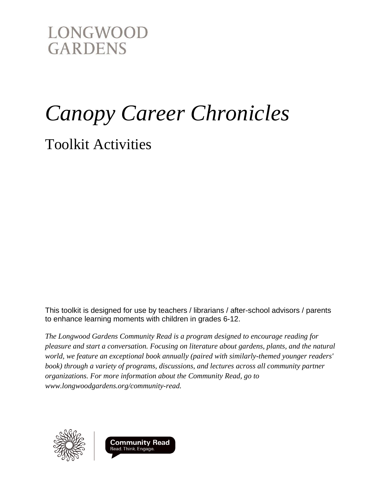# *Canopy Career Chronicles*

Toolkit Activities

This toolkit is designed for use by teachers / librarians / after-school advisors / parents to enhance learning moments with children in grades 6-12.

*The Longwood Gardens Community Read is a program designed to encourage reading for pleasure and start a conversation. Focusing on literature about gardens, plants, and the natural world, we feature an exceptional book annually (paired with similarly-themed younger readers'*  book) through a variety of programs, discussions, and lectures across all community partner *organizations. For more information about the Community Read, go to www.longwoodgardens.org/community-read.*



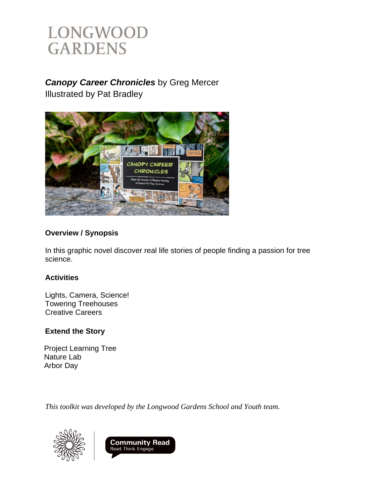# *Canopy Career Chronicles* by Greg Mercer

Illustrated by Pat Bradley



### **Overview / Synopsis**

In this graphic novel discover real life stories of people finding a passion for tree science.

### **Activities**

Lights, Camera, Science! Towering Treehouses Creative Careers

### **Extend the Story**

Project Learning Tree Nature Lab Arbor Day

*This toolkit was developed by the Longwood Gardens School and Youth team.* 



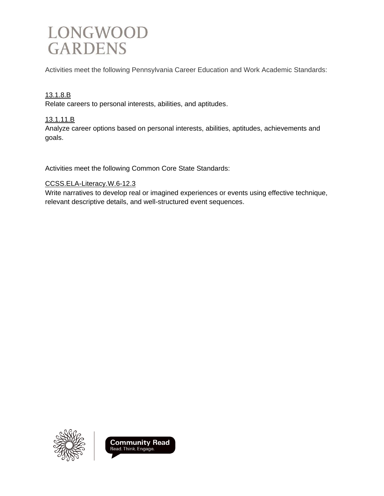Activities meet the following Pennsylvania Career Education and Work Academic Standards:

### 13.1.8.B

Relate careers to personal interests, abilities, and aptitudes.

#### 13.1.11.B

Analyze career options based on personal interests, abilities, aptitudes, achievements and goals.

Activities meet the following Common Core State Standards:

#### CCSS.ELA-Literacy.W.6-12.3

Write narratives to develop real or imagined experiences or events using effective technique, relevant descriptive details, and well-structured event sequences.



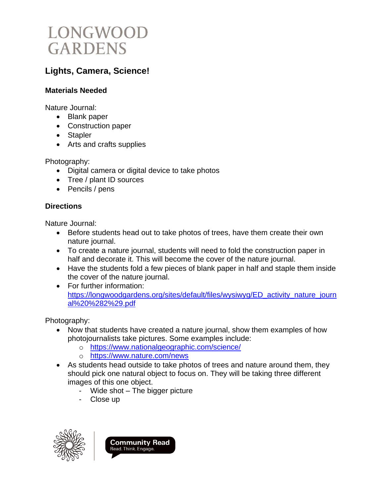

# **Lights, Camera, Science!**

### **Materials Needed**

Nature Journal:

- Blank paper
- Construction paper
- Stapler
- Arts and crafts supplies

Photography:

- Digital camera or digital device to take photos
- Tree / plant ID sources
- Pencils / pens

### **Directions**

Nature Journal:

- Before students head out to take photos of trees, have them create their own nature journal.
- To create a nature journal, students will need to fold the construction paper in half and decorate it. This will become the cover of the nature journal.
- Have the students fold a few pieces of blank paper in half and staple them inside the cover of the nature journal.
- For further information: https://longwoodgardens.org/sites/default/files/wysiwyg/ED activity nature journ [al%20%282%29.pdf](https://longwoodgardens.org/sites/default/files/wysiwyg/ED_activity_nature_journal%20%282%29.pdf)

Photography:

- Now that students have created a nature journal, show them examples of how photojournalists take pictures. Some examples include:
	- o <https://www.nationalgeographic.com/science/>
	- o <https://www.nature.com/news>
- As students head outside to take photos of trees and nature around them, they should pick one natural object to focus on. They will be taking three different images of this one object.
	- Wide shot The bigger picture
	- Close up



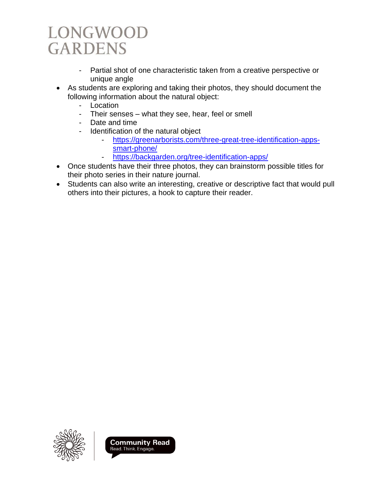- Partial shot of one characteristic taken from a creative perspective or unique angle
- As students are exploring and taking their photos, they should document the following information about the natural object:
	- Location
	- Their senses what they see, hear, feel or smell
	- Date and time
	- Identification of the natural object
		- [https://greenarborists.com/three-great-tree-identification-apps](https://greenarborists.com/three-great-tree-identification-apps-smart-phone/)[smart-phone/](https://greenarborists.com/three-great-tree-identification-apps-smart-phone/)
		- <https://backgarden.org/tree-identification-apps/>
- Once students have their three photos, they can brainstorm possible titles for their photo series in their nature journal.
- Students can also write an interesting, creative or descriptive fact that would pull others into their pictures, a hook to capture their reader.



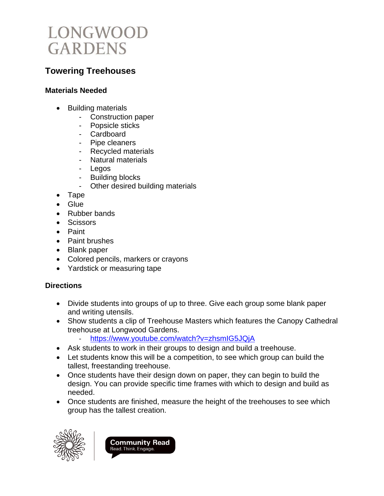

### **Towering Treehouses**

#### **Materials Needed**

- Building materials
	- Construction paper
	- Popsicle sticks
	- Cardboard
	- Pipe cleaners
	- Recycled materials
	- Natural materials
	- Legos
	- Building blocks
	- Other desired building materials
- Tape
- Glue
- Rubber bands
- Scissors
- Paint
- Paint brushes
- Blank paper
- Colored pencils, markers or crayons
- Yardstick or measuring tape

### **Directions**

- Divide students into groups of up to three. Give each group some blank paper and writing utensils.
- Show students a clip of Treehouse Masters which features the Canopy Cathedral treehouse at Longwood Gardens.
	- <https://www.youtube.com/watch?v=zhsmIG5JQjA>
- Ask students to work in their groups to design and build a treehouse.
- Let students know this will be a competition, to see which group can build the tallest, freestanding treehouse.
- Once students have their design down on paper, they can begin to build the design. You can provide specific time frames with which to design and build as needed.
- Once students are finished, measure the height of the treehouses to see which group has the tallest creation.



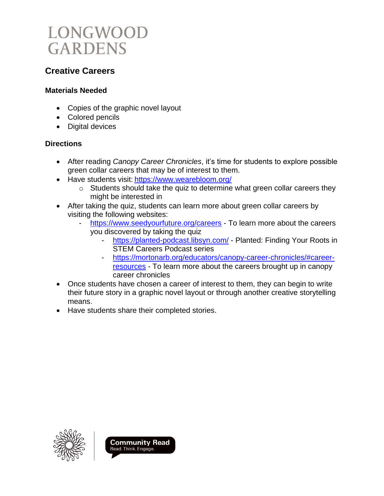

### **Creative Careers**

### **Materials Needed**

- Copies of the graphic novel layout
- Colored pencils
- Digital devices

### **Directions**

- After reading *Canopy Career Chronicles*, it's time for students to explore possible green collar careers that may be of interest to them.
- Have students visit: <https://www.wearebloom.org/>
	- $\circ$  Students should take the quiz to determine what green collar careers they might be interested in
- After taking the quiz, students can learn more about green collar careers by visiting the following websites:
	- <https://www.seedyourfuture.org/careers> To learn more about the careers you discovered by taking the quiz
		- <https://planted-podcast.libsyn.com/> Planted: Finding Your Roots in STEM Careers Podcast series
		- [https://mortonarb.org/educators/canopy-career-chronicles/#career](https://mortonarb.org/educators/canopy-career-chronicles/#career-resources)[resources](https://mortonarb.org/educators/canopy-career-chronicles/#career-resources) - To learn more about the careers brought up in canopy career chronicles
- Once students have chosen a career of interest to them, they can begin to write their future story in a graphic novel layout or through another creative storytelling means.
- Have students share their completed stories.



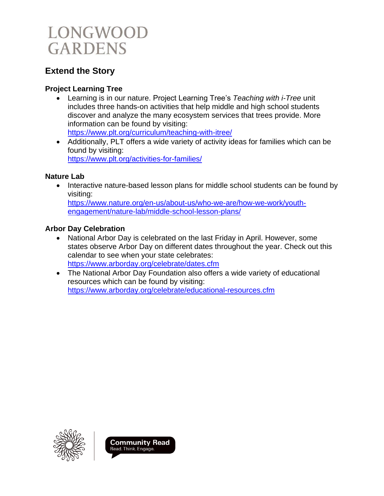## **Extend the Story**

### **Project Learning Tree**

- Learning is in our nature. Project Learning Tree's *Teaching with i-Tree* unit includes three hands-on activities that help middle and high school students discover and analyze the many ecosystem services that trees provide. More information can be found by visiting: <https://www.plt.org/curriculum/teaching-with-itree/>
- Additionally, PLT offers a wide variety of activity ideas for families which can be found by visiting: <https://www.plt.org/activities-for-families/>

### **Nature Lab**

• Interactive nature-based lesson plans for middle school students can be found by visiting: [https://www.nature.org/en-us/about-us/who-we-are/how-we-work/youth](https://www.nature.org/en-us/about-us/who-we-are/how-we-work/youth-engagement/nature-lab/middle-school-lesson-plans/)[engagement/nature-lab/middle-school-lesson-plans/](https://www.nature.org/en-us/about-us/who-we-are/how-we-work/youth-engagement/nature-lab/middle-school-lesson-plans/)

### **Arbor Day Celebration**

- National Arbor Day is celebrated on the last Friday in April. However, some states observe Arbor Day on different dates throughout the year. Check out this calendar to see when your state celebrates: <https://www.arborday.org/celebrate/dates.cfm>
- The National Arbor Day Foundation also offers a wide variety of educational resources which can be found by visiting: <https://www.arborday.org/celebrate/educational-resources.cfm>



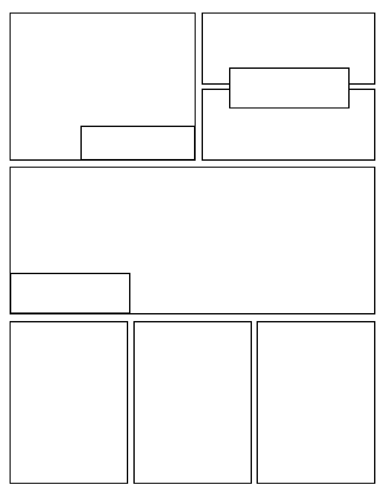

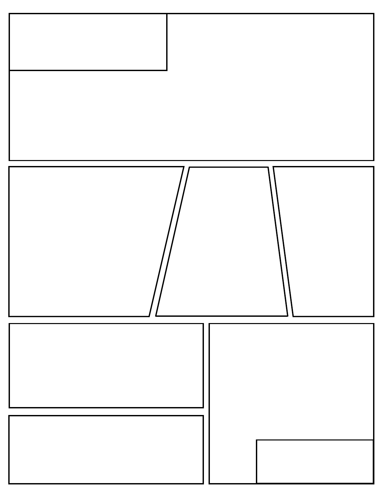